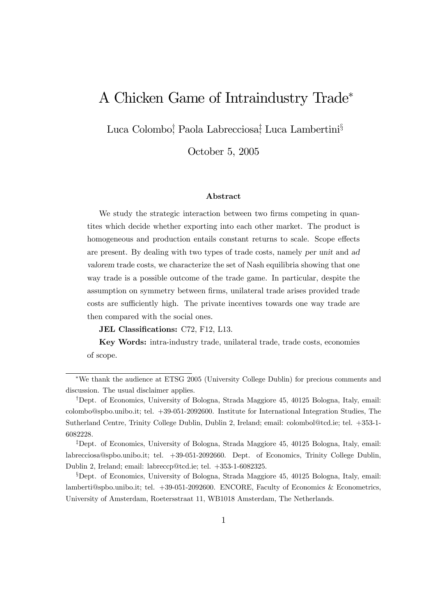# A Chicken Game of Intraindustry Trade<sup>∗</sup>

Luca Colombo<sup>†</sup>, Paola Labrecciosa<sup>‡</sup>, Luca Lambertini<sup>§</sup>

October 5, 2005

#### Abstract

We study the strategic interaction between two firms competing in quantites which decide whether exporting into each other market. The product is homogeneous and production entails constant returns to scale. Scope effects are present. By dealing with two types of trade costs, namely per unit and ad valorem trade costs, we characterize the set of Nash equilibria showing that one way trade is a possible outcome of the trade game. In particular, despite the assumption on symmetry between firms, unilateral trade arises provided trade costs are sufficiently high. The private incentives towards one way trade are then compared with the social ones.

JEL Classifications: C72, F12, L13.

Key Words: intra-industry trade, unilateral trade, trade costs, economies of scope.

<sup>∗</sup>We thank the audience at ETSG 2005 (University College Dublin) for precious comments and discussion. The usual disclaimer applies.

<sup>†</sup>Dept. of Economics, University of Bologna, Strada Maggiore 45, 40125 Bologna, Italy, email: colombo@spbo.unibo.it; tel. +39-051-2092600. Institute for International Integration Studies, The Sutherland Centre, Trinity College Dublin, Dublin 2, Ireland; email: colombol@tcd.ie; tel. +353-1- 6082228.

<sup>‡</sup>Dept. of Economics, University of Bologna, Strada Maggiore 45, 40125 Bologna, Italy, email: labrecciosa@spbo.unibo.it; tel. +39-051-2092660. Dept. of Economics, Trinity College Dublin, Dublin 2, Ireland; email: labreccp@tcd.ie; tel. +353-1-6082325.

<sup>§</sup>Dept. of Economics, University of Bologna, Strada Maggiore 45, 40125 Bologna, Italy, email: lamberti@spbo.unibo.it; tel. +39-051-2092600. ENCORE, Faculty of Economics & Econometrics, University of Amsterdam, Roetersstraat 11, WB1018 Amsterdam, The Netherlands.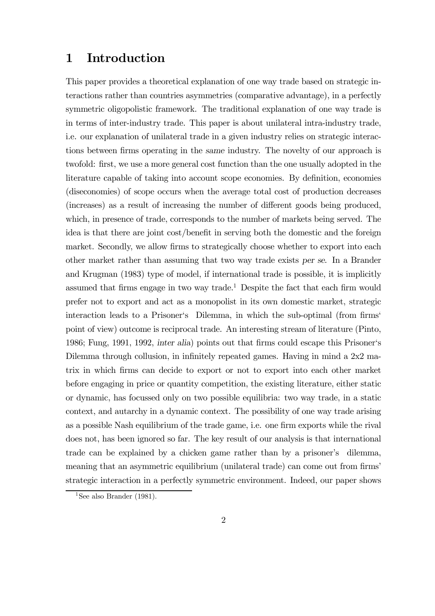## 1 Introduction

This paper provides a theoretical explanation of one way trade based on strategic interactions rather than countries asymmetries (comparative advantage), in a perfectly symmetric oligopolistic framework. The traditional explanation of one way trade is in terms of inter-industry trade. This paper is about unilateral intra-industry trade, i.e. our explanation of unilateral trade in a given industry relies on strategic interactions between firms operating in the same industry. The novelty of our approach is twofold: first, we use a more general cost function than the one usually adopted in the literature capable of taking into account scope economies. By definition, economies (diseconomies) of scope occurs when the average total cost of production decreases (increases) as a result of increasing the number of different goods being produced, which, in presence of trade, corresponds to the number of markets being served. The idea is that there are joint cost/benefit in serving both the domestic and the foreign market. Secondly, we allow firms to strategically choose whether to export into each other market rather than assuming that two way trade exists per se. In a Brander and Krugman (1983) type of model, if international trade is possible, it is implicitly assumed that firms engage in two way trade.<sup>1</sup> Despite the fact that each firm would prefer not to export and act as a monopolist in its own domestic market, strategic interaction leads to a Prisoner's Dilemma, in which the sub-optimal (from firms' point of view) outcome is reciprocal trade. An interesting stream of literature (Pinto, 1986; Fung, 1991, 1992, inter alia) points out that firms could escape this Prisoner's Dilemma through collusion, in infinitely repeated games. Having in mind a 2x2 matrix in which firms can decide to export or not to export into each other market before engaging in price or quantity competition, the existing literature, either static or dynamic, has focussed only on two possible equilibria: two way trade, in a static context, and autarchy in a dynamic context. The possibility of one way trade arising as a possible Nash equilibrium of the trade game, i.e. one firm exports while the rival does not, has been ignored so far. The key result of our analysis is that international trade can be explained by a chicken game rather than by a prisoner's dilemma, meaning that an asymmetric equilibrium (unilateral trade) can come out from firms' strategic interaction in a perfectly symmetric environment. Indeed, our paper shows

<sup>&</sup>lt;sup>1</sup>See also Brander (1981).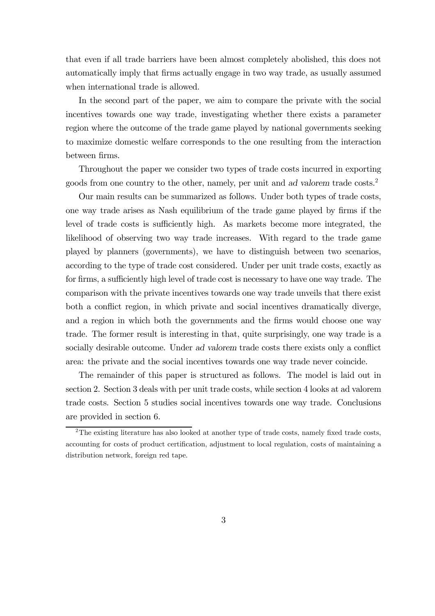that even if all trade barriers have been almost completely abolished, this does not automatically imply that firms actually engage in two way trade, as usually assumed when international trade is allowed.

In the second part of the paper, we aim to compare the private with the social incentives towards one way trade, investigating whether there exists a parameter region where the outcome of the trade game played by national governments seeking to maximize domestic welfare corresponds to the one resulting from the interaction between firms.

Throughout the paper we consider two types of trade costs incurred in exporting goods from one country to the other, namely, per unit and ad valorem trade costs.2

Our main results can be summarized as follows. Under both types of trade costs, one way trade arises as Nash equilibrium of the trade game played by firms if the level of trade costs is sufficiently high. As markets become more integrated, the likelihood of observing two way trade increases. With regard to the trade game played by planners (governments), we have to distinguish between two scenarios, according to the type of trade cost considered. Under per unit trade costs, exactly as for firms, a sufficiently high level of trade cost is necessary to have one way trade. The comparison with the private incentives towards one way trade unveils that there exist both a conflict region, in which private and social incentives dramatically diverge, and a region in which both the governments and the firms would choose one way trade. The former result is interesting in that, quite surprisingly, one way trade is a socially desirable outcome. Under ad valorem trade costs there exists only a conflict area: the private and the social incentives towards one way trade never coincide.

The remainder of this paper is structured as follows. The model is laid out in section 2. Section 3 deals with per unit trade costs, while section 4 looks at ad valorem trade costs. Section 5 studies social incentives towards one way trade. Conclusions are provided in section 6.

<sup>&</sup>lt;sup>2</sup>The existing literature has also looked at another type of trade costs, namely fixed trade costs, accounting for costs of product certification, adjustment to local regulation, costs of maintaining a distribution network, foreign red tape.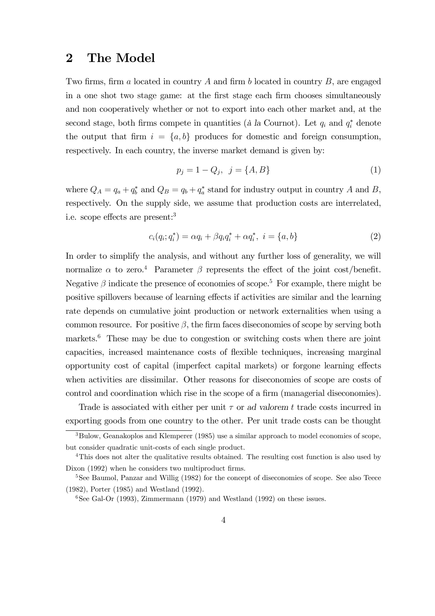#### 2 The Model

Two firms, firm a located in country A and firm b located in country B, are engaged in a one shot two stage game: at the first stage each firm chooses simultaneously and non cooperatively whether or not to export into each other market and, at the second stage, both firms compete in quantities (à la Cournot). Let  $q_i$  and  $q_i^*$  denote the output that firm  $i = \{a, b\}$  produces for domestic and foreign consumption, respectively. In each country, the inverse market demand is given by:

$$
p_j = 1 - Q_j, \ \ j = \{A, B\} \tag{1}
$$

where  $Q_A = q_a + q_b^*$  and  $Q_B = q_b + q_a^*$  stand for industry output in country A and B, respectively. On the supply side, we assume that production costs are interrelated, i.e. scope effects are present:3

$$
c_i(q_i; q_i^*) = \alpha q_i + \beta q_i q_i^* + \alpha q_i^*, \ i = \{a, b\}
$$
 (2)

In order to simplify the analysis, and without any further loss of generality, we will normalize  $\alpha$  to zero.<sup>4</sup> Parameter  $\beta$  represents the effect of the joint cost/benefit. Negative  $\beta$  indicate the presence of economies of scope.<sup>5</sup> For example, there might be positive spillovers because of learning effects if activities are similar and the learning rate depends on cumulative joint production or network externalities when using a common resource. For positive  $\beta$ , the firm faces diseconomies of scope by serving both markets.<sup>6</sup> These may be due to congestion or switching costs when there are joint capacities, increased maintenance costs of flexible techniques, increasing marginal opportunity cost of capital (imperfect capital markets) or forgone learning effects when activities are dissimilar. Other reasons for diseconomies of scope are costs of control and coordination which rise in the scope of a firm (managerial diseconomies).

Trade is associated with either per unit  $\tau$  or ad valorem t trade costs incurred in exporting goods from one country to the other. Per unit trade costs can be thought

<sup>&</sup>lt;sup>3</sup>Bulow, Geanakoplos and Klemperer (1985) use a similar approach to model economies of scope, but consider quadratic unit-costs of each single product.

<sup>4</sup>This does not alter the qualitative results obtained. The resulting cost function is also used by Dixon (1992) when he considers two multiproduct firms.

<sup>&</sup>lt;sup>5</sup>See Baumol, Panzar and Willig (1982) for the concept of diseconomies of scope. See also Teece (1982), Porter (1985) and Westland (1992).

<sup>&</sup>lt;sup>6</sup>See Gal-Or (1993), Zimmermann (1979) and Westland (1992) on these issues.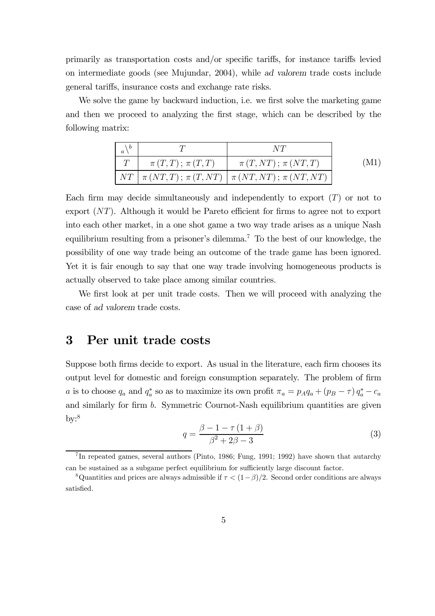primarily as transportation costs and/or specific tariffs, for instance tariffs levied on intermediate goods (see Mujundar, 2004), while ad valorem trade costs include general tariffs, insurance costs and exchange rate risks.

We solve the game by backward induction, i.e. we first solve the marketing game and then we proceed to analyzing the first stage, which can be described by the following matrix:

| $\setminus b$<br>$\boldsymbol{a}$ |                      |                                                                                      |  |
|-----------------------------------|----------------------|--------------------------------------------------------------------------------------|--|
|                                   | $\pi(T,T); \pi(T,T)$ | $\pi(T, NT); \pi (NT, T)$                                                            |  |
|                                   |                      | $\left  NT \right  \pi (NT,T); \pi (T,NT) \left  \pi (NT, NT); \pi (NT, NT) \right $ |  |

Each firm may decide simultaneously and independently to export  $(T)$  or not to export (NT). Although it would be Pareto efficient for firms to agree not to export into each other market, in a one shot game a two way trade arises as a unique Nash equilibrium resulting from a prisoner's dilemma.<sup>7</sup> To the best of our knowledge, the possibility of one way trade being an outcome of the trade game has been ignored. Yet it is fair enough to say that one way trade involving homogeneous products is actually observed to take place among similar countries.

We first look at per unit trade costs. Then we will proceed with analyzing the case of ad valorem trade costs.

#### 3 Per unit trade costs

Suppose both firms decide to export. As usual in the literature, each firm chooses its output level for domestic and foreign consumption separately. The problem of firm *a* is to choose  $q_a$  and  $q_a^*$  so as to maximize its own profit  $\pi_a = p_A q_a + (p_B - \tau) q_a^* - c_a$ and similarly for firm b. Symmetric Cournot-Nash equilibrium quantities are given  $\rm{bv:}^8$ 

$$
q = \frac{\beta - 1 - \tau (1 + \beta)}{\beta^2 + 2\beta - 3}
$$
 (3)

<sup>7</sup> In repeated games, several authors (Pinto, 1986; Fung, 1991; 1992) have shown that autarchy can be sustained as a subgame perfect equilibrium for sufficiently large discount factor.

<sup>&</sup>lt;sup>8</sup>Quantities and prices are always admissible if  $\tau < (1-\beta)/2$ . Second order conditions are always satisfied.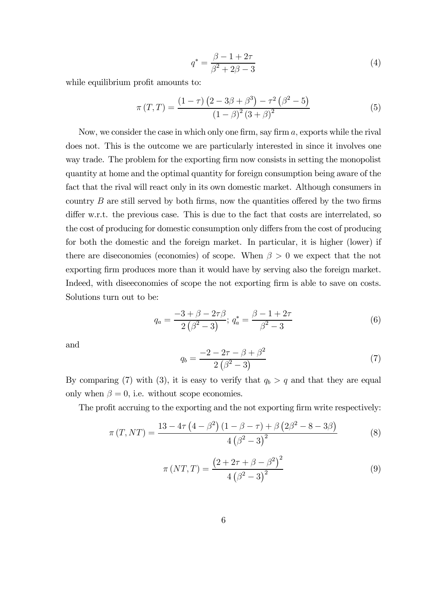$$
q^* = \frac{\beta - 1 + 2\tau}{\beta^2 + 2\beta - 3}
$$
 (4)

while equilibrium profit amounts to:

$$
\pi(T,T) = \frac{(1-\tau)(2-3\beta+\beta^3)-\tau^2(\beta^2-5)}{(1-\beta)^2(3+\beta)^2}
$$
(5)

Now, we consider the case in which only one firm, say firm a, exports while the rival does not. This is the outcome we are particularly interested in since it involves one way trade. The problem for the exporting firm now consists in setting the monopolist quantity at home and the optimal quantity for foreign consumption being aware of the fact that the rival will react only in its own domestic market. Although consumers in country  $B$  are still served by both firms, now the quantities offered by the two firms differ w.r.t. the previous case. This is due to the fact that costs are interrelated, so the cost of producing for domestic consumption only differs from the cost of producing for both the domestic and the foreign market. In particular, it is higher (lower) if there are diseconomies (economies) of scope. When  $\beta > 0$  we expect that the not exporting firm produces more than it would have by serving also the foreign market. Indeed, with diseeconomies of scope the not exporting firm is able to save on costs. Solutions turn out to be:

$$
q_a = \frac{-3 + \beta - 2\tau\beta}{2(\beta^2 - 3)}; \ q_a^* = \frac{\beta - 1 + 2\tau}{\beta^2 - 3} \tag{6}
$$

and

$$
q_b = \frac{-2 - 2\tau - \beta + \beta^2}{2(\beta^2 - 3)}
$$
(7)

By comparing (7) with (3), it is easy to verify that  $q_b > q$  and that they are equal only when  $\beta = 0$ , i.e. without scope economies.

The profit accruing to the exporting and the not exporting firm write respectively:

$$
\pi(T, NT) = \frac{13 - 4\tau (4 - \beta^2) (1 - \beta - \tau) + \beta (2\beta^2 - 8 - 3\beta)}{4 (\beta^2 - 3)^2}
$$
(8)

$$
\pi (NT, T) = \frac{\left(2 + 2\tau + \beta - \beta^2\right)^2}{4\left(\beta^2 - 3\right)^2}
$$
\n(9)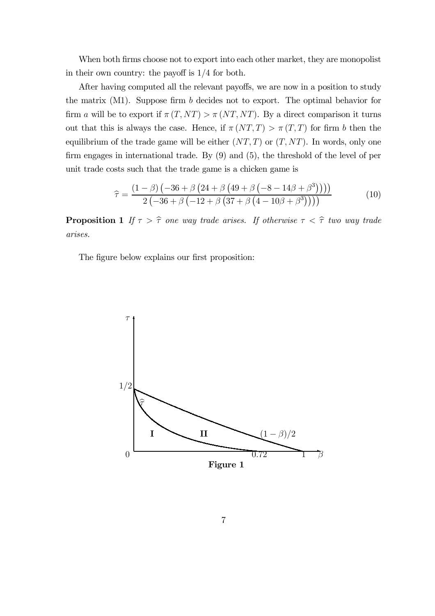When both firms choose not to export into each other market, they are monopolist in their own country: the payoff is 1/4 for both.

After having computed all the relevant payoffs, we are now in a position to study the matrix (M1). Suppose firm b decides not to export. The optimal behavior for firm a will be to export if  $\pi(T, NT) > \pi (NT, NT)$ . By a direct comparison it turns out that this is always the case. Hence, if  $\pi (NT, T) > \pi (T, T)$  for firm b then the equilibrium of the trade game will be either  $(NT, T)$  or  $(T, NT)$ . In words, only one firm engages in international trade. By (9) and (5), the threshold of the level of per unit trade costs such that the trade game is a chicken game is

$$
\hat{\tau} = \frac{(1-\beta)(-36+\beta(24+\beta(49+\beta(-8-14\beta+\beta^3))))}{2(-36+\beta(-12+\beta(37+\beta(4-10\beta+\beta^3))))}
$$
(10)

**Proposition 1** If  $\tau > \hat{\tau}$  one way trade arises. If otherwise  $\tau < \hat{\tau}$  two way trade arises.

The figure below explains our first proposition:

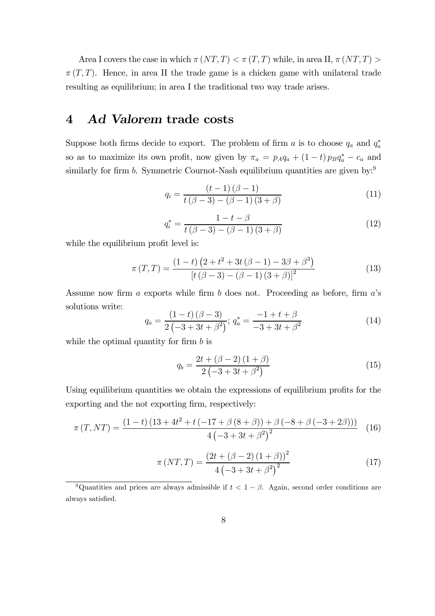Area I covers the case in which  $\pi (NT, T) < \pi (T, T)$  while, in area II,  $\pi (NT, T) >$  $\pi(T,T)$ . Hence, in area II the trade game is a chicken game with unilateral trade resulting as equilibrium; in area I the traditional two way trade arises.

### 4 Ad Valorem trade costs

Suppose both firms decide to export. The problem of firm a is to choose  $q_a$  and  $q_a^*$ so as to maximize its own profit, now given by  $\pi_a = p_A q_a + (1-t) p_B q_a^* - c_a$  and similarly for firm  $b$ . Symmetric Cournot-Nash equilibrium quantities are given by:<sup>9</sup>

$$
q_i = \frac{(t-1)(\beta - 1)}{t(\beta - 3) - (\beta - 1)(3 + \beta)}
$$
(11)

$$
q_i^* = \frac{1 - t - \beta}{t(\beta - 3) - (\beta - 1)(3 + \beta)}
$$
(12)

while the equilibrium profit level is:

$$
\pi(T,T) = \frac{(1-t)\left(2+t^2+3t(\beta-1)-3\beta+\beta^3\right)}{\left[t(\beta-3)-(\beta-1)(3+\beta)\right]^2}
$$
(13)

Assume now firm  $a$  exports while firm  $b$  does not. Proceeding as before, firm  $a$ 's solutions write:

$$
q_a = \frac{(1-t)(\beta - 3)}{2(-3+3t+\beta^2)}; \, q_a^* = \frac{-1+t+\beta}{-3+3t+\beta^2} \tag{14}
$$

while the optimal quantity for firm  $b$  is

$$
q_b = \frac{2t + (\beta - 2)(1 + \beta)}{2(-3 + 3t + \beta^2)}
$$
(15)

Using equilibrium quantities we obtain the expressions of equilibrium profits for the exporting and the not exporting firm, respectively:

$$
\pi(T, NT) = \frac{(1-t)(13+4t^2+t(-17+\beta(8+\beta))+\beta(-8+\beta(-3+2\beta)))}{4(-3+3t+\beta^2)^2}
$$
(16)

$$
\pi (NT, T) = \frac{(2t + (\beta - 2) (1 + \beta))^2}{4 (-3 + 3t + \beta^2)^2}
$$
\n(17)

<sup>9</sup>Quantities and prices are always admissible if  $t < 1 - \beta$ . Again, second order conditions are always satisfied.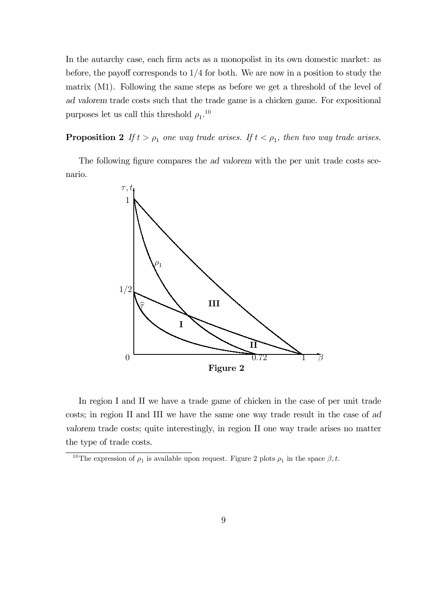In the autarchy case, each firm acts as a monopolist in its own domestic market: as before, the payoff corresponds to 1/4 for both. We are now in a position to study the matrix (M1). Following the same steps as before we get a threshold of the level of ad valorem trade costs such that the trade game is a chicken game. For expositional purposes let us call this threshold  $\rho_1$ <sup>10</sup>

**Proposition 2** If  $t > \rho_1$  one way trade arises. If  $t < \rho_1$ , then two way trade arises.

The following figure compares the ad valorem with the per unit trade costs scenario.



In region I and II we have a trade game of chicken in the case of per unit trade costs; in region II and III we have the same one way trade result in the case of ad valorem trade costs; quite interestingly, in region II one way trade arises no matter the type of trade costs.

<sup>&</sup>lt;sup>10</sup>The expression of  $\rho_1$  is available upon request. Figure 2 plots  $\rho_1$  in the space  $\beta, t$ .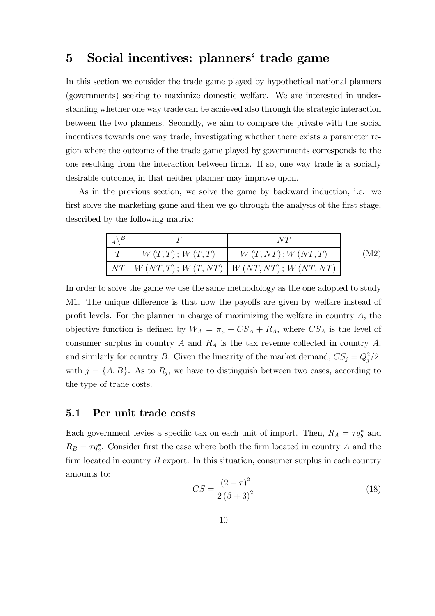### 5 Social incentives: planners' trade game

In this section we consider the trade game played by hypothetical national planners (governments) seeking to maximize domestic welfare. We are interested in understanding whether one way trade can be achieved also through the strategic interaction between the two planners. Secondly, we aim to compare the private with the social incentives towards one way trade, investigating whether there exists a parameter region where the outcome of the trade game played by governments corresponds to the one resulting from the interaction between firms. If so, one way trade is a socially desirable outcome, in that neither planner may improve upon.

As in the previous section, we solve the game by backward induction, i.e. we first solve the marketing game and then we go through the analysis of the first stage, described by the following matrix:

| $\setminus B$ |                  | NT                                                         |      |
|---------------|------------------|------------------------------------------------------------|------|
|               | W(T, T); W(T, T) | W(T, NT); W (NT, T)                                        | (M2) |
|               |                  | $NT \mid W (NT, T); W (T, NT) \mid W (NT, NT); W (NT, NT)$ |      |

In order to solve the game we use the same methodology as the one adopted to study M1. The unique difference is that now the payoffs are given by welfare instead of profit levels. For the planner in charge of maximizing the welfare in country  $A$ , the objective function is defined by  $W_A = \pi_a + CS_A + R_A$ , where  $CS_A$  is the level of consumer surplus in country A and  $R_A$  is the tax revenue collected in country A, and similarly for country B. Given the linearity of the market demand,  $CS_j = Q_j^2/2$ , with  $j = \{A, B\}$ . As to  $R_j$ , we have to distinguish between two cases, according to the type of trade costs.

#### 5.1 Per unit trade costs

Each government levies a specific tax on each unit of import. Then,  $R_A = \tau q_b^*$  and  $R_B = \tau q_a^*$ . Consider first the case where both the firm located in country A and the firm located in country  $B$  export. In this situation, consumer surplus in each country amounts to:

$$
CS = \frac{(2 - \tau)^2}{2(\beta + 3)^2}
$$
\n(18)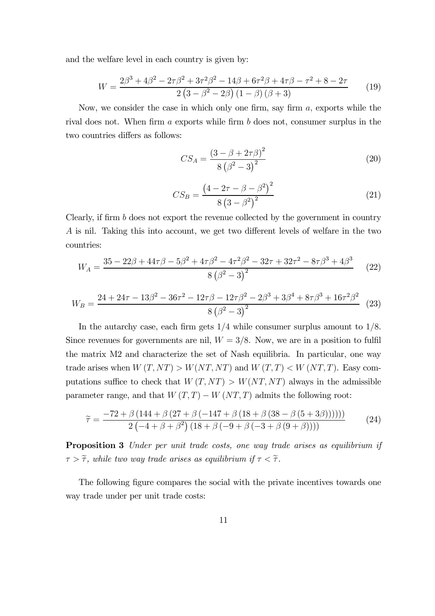and the welfare level in each country is given by:

$$
W = \frac{2\beta^3 + 4\beta^2 - 2\tau\beta^2 + 3\tau^2\beta^2 - 14\beta + 6\tau^2\beta + 4\tau\beta - \tau^2 + 8 - 2\tau}{2\left(3 - \beta^2 - 2\beta\right)\left(1 - \beta\right)\left(\beta + 3\right)}\tag{19}
$$

Now, we consider the case in which only one firm, say firm a, exports while the rival does not. When firm a exports while firm b does not, consumer surplus in the two countries differs as follows:

$$
CS_A = \frac{(3 - \beta + 2\tau \beta)^2}{8(\beta^2 - 3)^2}
$$
 (20)

$$
CS_B = \frac{(4 - 2\tau - \beta - \beta^2)^2}{8(3 - \beta^2)^2}
$$
 (21)

Clearly, if firm b does not export the revenue collected by the government in country A is nil. Taking this into account, we get two different levels of welfare in the two countries:

$$
W_A = \frac{35 - 22\beta + 44\tau\beta - 5\beta^2 + 4\tau\beta^2 - 4\tau^2\beta^2 - 32\tau + 32\tau^2 - 8\tau\beta^3 + 4\beta^3}{8(\beta^2 - 3)^2}
$$
 (22)

$$
W_B = \frac{24 + 24\tau - 13\beta^2 - 36\tau^2 - 12\tau\beta - 12\tau\beta^2 - 2\beta^3 + 3\beta^4 + 8\tau\beta^3 + 16\tau^2\beta^2}{8(\beta^2 - 3)^2}
$$
 (23)

In the autarchy case, each firm gets  $1/4$  while consumer surplus amount to  $1/8$ . Since revenues for governments are nil,  $W = 3/8$ . Now, we are in a position to fulfil the matrix M2 and characterize the set of Nash equilibria. In particular, one way trade arises when  $W(T, NT) > W(NT, NT)$  and  $W(T, T) < W(NT, T)$ . Easy computations suffice to check that  $W(T, NT) > W(NT, NT)$  always in the admissible parameter range, and that  $W(T,T) - W(NT,T)$  admits the following root:

$$
\widetilde{\tau} = \frac{-72 + \beta (144 + \beta (27 + \beta (-147 + \beta (18 + \beta (38 - \beta (5 + 3\beta))))))}{2 (-4 + \beta + \beta^2) (18 + \beta (-9 + \beta (-3 + \beta (9 + \beta))))}
$$
(24)

Proposition 3 Under per unit trade costs, one way trade arises as equilibrium if  $\tau > \tilde{\tau}$ , while two way trade arises as equilibrium if  $\tau < \tilde{\tau}$ .

The following figure compares the social with the private incentives towards one way trade under per unit trade costs: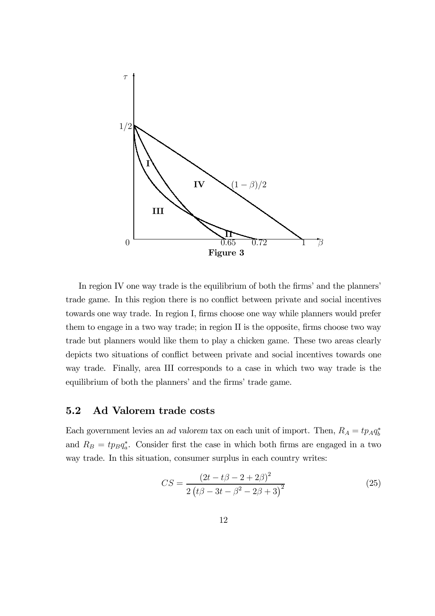

In region IV one way trade is the equilibrium of both the firms' and the planners' trade game. In this region there is no conflict between private and social incentives towards one way trade. In region I, firms choose one way while planners would prefer them to engage in a two way trade; in region II is the opposite, firms choose two way trade but planners would like them to play a chicken game. These two areas clearly depicts two situations of conflict between private and social incentives towards one way trade. Finally, area III corresponds to a case in which two way trade is the equilibrium of both the planners' and the firms' trade game.

#### 5.2 Ad Valorem trade costs

Each government levies an ad valorem tax on each unit of import. Then,  $R_A = tp_Aq_b^*$ and  $R_B = tp_Bq_a^*$ . Consider first the case in which both firms are engaged in a two way trade. In this situation, consumer surplus in each country writes:

$$
CS = \frac{(2t - t\beta - 2 + 2\beta)^2}{2\left(t\beta - 3t - \beta^2 - 2\beta + 3\right)^2}
$$
\n(25)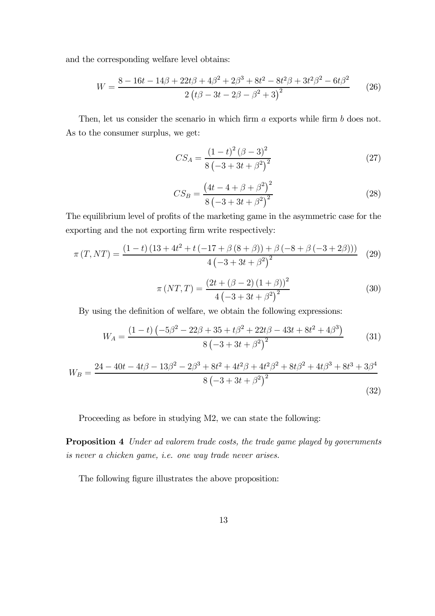and the corresponding welfare level obtains:

$$
W = \frac{8 - 16t - 14\beta + 22t\beta + 4\beta^2 + 2\beta^3 + 8t^2 - 8t^2\beta + 3t^2\beta^2 - 6t\beta^2}{2\left(t\beta - 3t - 2\beta - \beta^2 + 3\right)^2} \tag{26}
$$

Then, let us consider the scenario in which firm a exports while firm b does not. As to the consumer surplus, we get:

$$
CS_A = \frac{(1-t)^2 (\beta - 3)^2}{8 (-3 + 3t + \beta^2)^2}
$$
\n(27)

$$
CS_B = \frac{(4t - 4 + \beta + \beta^2)^2}{8(-3 + 3t + \beta^2)^2}
$$
 (28)

The equilibrium level of profits of the marketing game in the asymmetric case for the exporting and the not exporting firm write respectively:

$$
\pi(T, NT) = \frac{(1-t)(13+4t^2+t(-17+\beta(8+\beta))+\beta(-8+\beta(-3+2\beta)))}{4(-3+3t+\beta^2)^2}
$$
(29)

$$
\pi (NT, T) = \frac{(2t + (\beta - 2) (1 + \beta))^2}{4 (-3 + 3t + \beta^2)^2}
$$
\n(30)

By using the definition of welfare, we obtain the following expressions:

$$
W_A = \frac{(1-t)\left(-5\beta^2 - 22\beta + 35 + t\beta^2 + 22t\beta - 43t + 8t^2 + 4\beta^3\right)}{8\left(-3 + 3t + \beta^2\right)^2}
$$
(31)

$$
W_B = \frac{24 - 40t - 4t\beta - 13\beta^2 - 2\beta^3 + 8t^2 + 4t^2\beta + 4t^2\beta^2 + 8t\beta^2 + 4t\beta^3 + 8t^3 + 3\beta^4}{8\left(-3 + 3t + \beta^2\right)^2}
$$
\n(32)

Proceeding as before in studying M2, we can state the following:

Proposition 4 Under ad valorem trade costs, the trade game played by governments is never a chicken game, i.e. one way trade never arises.

The following figure illustrates the above proposition: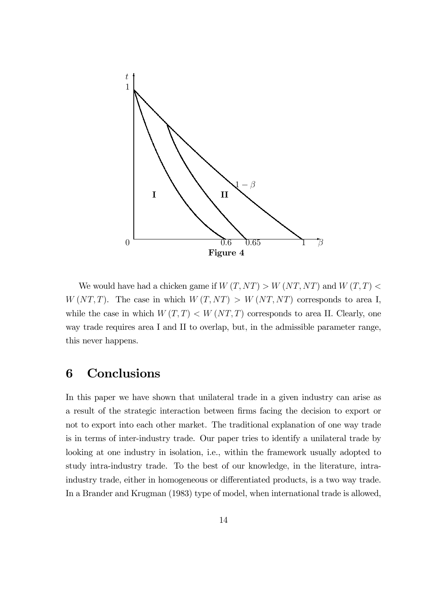

We would have had a chicken game if  $W(T,NT) > W (NT, NT)$  and  $W (T,T) <$  $W (NT, T)$ . The case in which  $W (T, NT) > W (NT, NT)$  corresponds to area I, while the case in which  $W(T,T) < W(NT,T)$  corresponds to area II. Clearly, one way trade requires area I and II to overlap, but, in the admissible parameter range, this never happens.

### 6 Conclusions

In this paper we have shown that unilateral trade in a given industry can arise as a result of the strategic interaction between firms facing the decision to export or not to export into each other market. The traditional explanation of one way trade is in terms of inter-industry trade. Our paper tries to identify a unilateral trade by looking at one industry in isolation, i.e., within the framework usually adopted to study intra-industry trade. To the best of our knowledge, in the literature, intraindustry trade, either in homogeneous or differentiated products, is a two way trade. In a Brander and Krugman (1983) type of model, when international trade is allowed,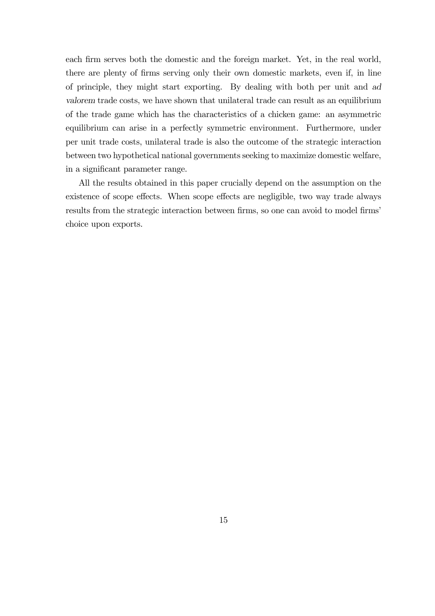each firm serves both the domestic and the foreign market. Yet, in the real world, there are plenty of firms serving only their own domestic markets, even if, in line of principle, they might start exporting. By dealing with both per unit and ad valorem trade costs, we have shown that unilateral trade can result as an equilibrium of the trade game which has the characteristics of a chicken game: an asymmetric equilibrium can arise in a perfectly symmetric environment. Furthermore, under per unit trade costs, unilateral trade is also the outcome of the strategic interaction between two hypothetical national governments seeking to maximize domestic welfare, in a significant parameter range.

All the results obtained in this paper crucially depend on the assumption on the existence of scope effects. When scope effects are negligible, two way trade always results from the strategic interaction between firms, so one can avoid to model firms' choice upon exports.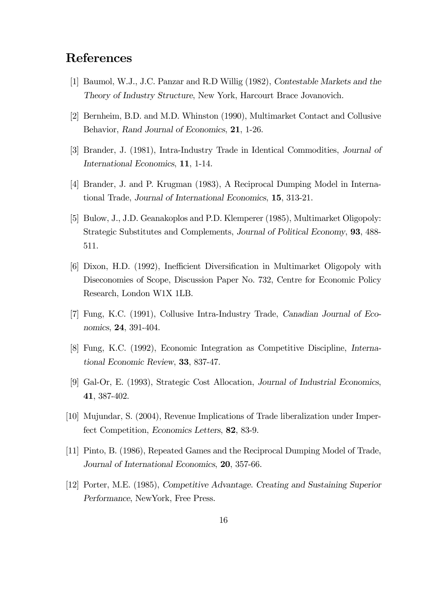### References

- [1] Baumol, W.J., J.C. Panzar and R.D Willig (1982), Contestable Markets and the Theory of Industry Structure, New York, Harcourt Brace Jovanovich.
- [2] Bernheim, B.D. and M.D. Whinston (1990), Multimarket Contact and Collusive Behavior, Rand Journal of Economics, 21, 1-26.
- [3] Brander, J. (1981), Intra-Industry Trade in Identical Commodities, Journal of International Economics, 11, 1-14.
- [4] Brander, J. and P. Krugman (1983), A Reciprocal Dumping Model in International Trade, Journal of International Economics, 15, 313-21.
- [5] Bulow, J., J.D. Geanakoplos and P.D. Klemperer (1985), Multimarket Oligopoly: Strategic Substitutes and Complements, Journal of Political Economy, 93, 488- 511.
- [6] Dixon, H.D. (1992), Inefficient Diversification in Multimarket Oligopoly with Diseconomies of Scope, Discussion Paper No. 732, Centre for Economic Policy Research, London W1X 1LB.
- [7] Fung, K.C. (1991), Collusive Intra-Industry Trade, Canadian Journal of Economics, 24, 391-404.
- [8] Fung, K.C. (1992), Economic Integration as Competitive Discipline, International Economic Review, 33, 837-47.
- [9] Gal-Or, E. (1993), Strategic Cost Allocation, Journal of Industrial Economics, 41, 387-402.
- [10] Mujundar, S. (2004), Revenue Implications of Trade liberalization under Imperfect Competition, Economics Letters, 82, 83-9.
- [11] Pinto, B. (1986), Repeated Games and the Reciprocal Dumping Model of Trade, Journal of International Economics, 20, 357-66.
- [12] Porter, M.E. (1985), Competitive Advantage. Creating and Sustaining Superior Performance, NewYork, Free Press.